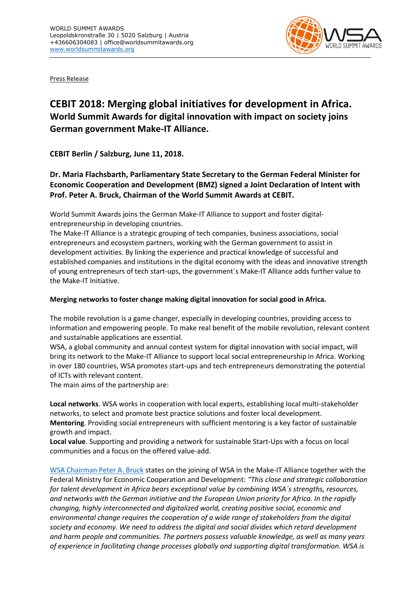

Press Release

## **CEBIT 2018: Merging global initiatives for development in Africa. World Summit Awards for digital innovation with impact on society joins German government Make-IT Alliance.**

**CEBIT Berlin / Salzburg, June 11, 2018.**

**Dr. Maria Flachsbarth, Parliamentary State Secretary to the German Federal Minister for Economic Cooperation and Development (BMZ) signed a Joint Declaration of Intent with Prof. Peter A. Bruck, Chairman of the World Summit Awards at CEBIT.**

World Summit Awards joins the German Make-IT Alliance to support and foster digitalentrepreneurship in developing countries.

The Make-IT Alliance is a strategic grouping of tech companies, business associations, social entrepreneurs and ecosystem partners, working with the German government to assist in development activities. By linking the experience and practical knowledge of successful and established companies and institutions in the digital economy with the ideas and innovative strength of young entrepreneurs of tech start-ups, the government´s Make-IT Alliance adds further value to the Make-IT Initiative.

## **Merging networks to foster change making digital innovation for social good in Africa.**

The mobile revolution is a game changer, especially in developing countries, providing access to information and empowering people. To make real benefit of the mobile revolution, relevant content and sustainable applications are essential.

WSA, a global community and annual contest system for digital innovation with social impact, will bring its network to the Make-IT Alliance to support local social entrepreneurship in Africa. Working in over 180 countries, WSA promotes start-ups and tech entrepreneurs demonstrating the potential of ICTs with relevant content.

The main aims of the partnership are:

**Local networks**. WSA works in cooperation with local experts, establishing local multi-stakeholder networks, to select and promote best practice solutions and foster local development. **Mentoring**. Providing social entrepreneurs with sufficient mentoring is a key factor of sustainable growth and impact.

**Local value**. Supporting and providing a network for sustainable Start-Ups with a focus on local communities and a focus on the offered value-add.

[WSA Chairman Peter A. Bruck](http://www.wsis-award.org/content/wsa-chairman-prof-peter-bruck-119420150216) states on the joining of WSA in the Make-IT Alliance together with the Federal Ministry for Economic Cooperation and Development: *"This close and strategic collaboration for talent development in Africa bears exceptional value by combining WSA´s strengths, resources, and networks with the German initiative and the European Union priority for Africa. In the rapidly changing, highly interconnected and digitalized world, creating positive social, economic and environmental change requires the cooperation of a wide range of stakeholders from the digital society and economy. We need to address the digital and social divides which retard development and harm people and communities. The partners possess valuable knowledge, as well as many years of experience in facilitating change processes globally and supporting digital transformation. WSA is*